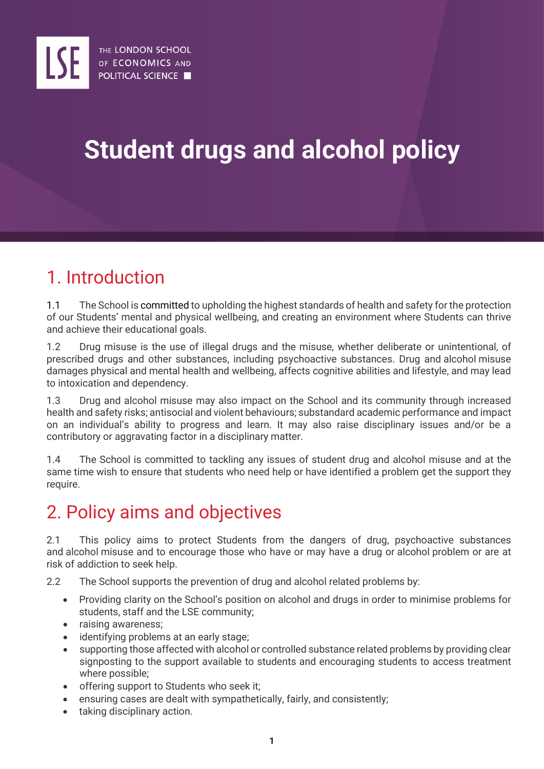# **Student drugs and alcohol policy**

## 1. Introduction

1.1 The School is committed to upholding the highest standards of health and safety for the protection of our Students' mental and physical wellbeing, and creating an environment where Students can thrive and achieve their educational goals.

1.2 Drug misuse is the use of illegal drugs and the misuse, whether deliberate or unintentional, of prescribed drugs and other substances, including psychoactive substances. Drug and alcohol misuse damages physical and mental health and wellbeing, affects cognitive abilities and lifestyle, and may lead to intoxication and dependency.

1.3 Drug and alcohol misuse may also impact on the School and its community through increased health and safety risks; antisocial and violent behaviours; substandard academic performance and impact on an individual's ability to progress and learn. It may also raise disciplinary issues and/or be a contributory or aggravating factor in a disciplinary matter.

1.4 The School is committed to tackling any issues of student drug and alcohol misuse and at the same time wish to ensure that students who need help or have identified a problem get the support they require.

### 2. Policy aims and objectives

2.1 This policy aims to protect Students from the dangers of drug, psychoactive substances and alcohol misuse and to encourage those who have or may have a drug or alcohol problem or are at risk of addiction to seek help.

2.2 The School supports the prevention of drug and alcohol related problems by:

- Providing clarity on the School's position on alcohol and drugs in order to minimise problems for students, staff and the LSE community;
- raising awareness;
- identifying problems at an early stage;
- supporting those affected with alcohol or controlled substance related problems by providing clear signposting to the support available to students and encouraging students to access treatment where possible;
- offering support to Students who seek it;
- ensuring cases are dealt with sympathetically, fairly, and consistently;
- taking disciplinary action.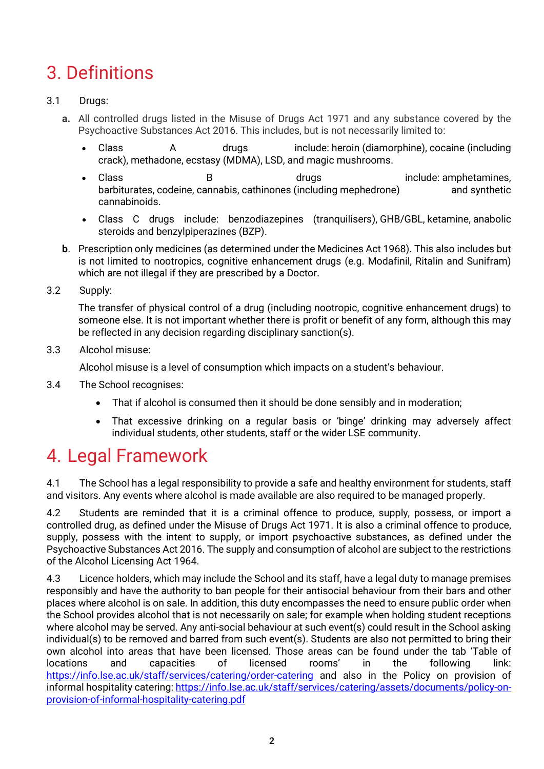## 3. Definitions

#### 3.1 Drugs:

- **a.** All controlled drugs listed in the Misuse of Drugs Act 1971 and any substance covered by the Psychoactive Substances Act 2016. This includes, but is not necessarily limited to:
	- Class A drugs include: [heroin](http://www.talktofrank.com/drug/heroin) (diamorphine), [cocaine](http://www.talktofrank.com/drug/cocaine) (including crack), [methadone,](http://www.talktofrank.com/drug/methadone) [ecstasy](http://www.talktofrank.com/drug/ecstasy) (MDMA), [LSD,](http://www.talktofrank.com/drug/lsd) and [magic mushrooms.](http://www.talktofrank.com/drug/magic-mushrooms)
	- Class B drugs include: amphetamines, barbiturates, [codeine,](http://www.talktofrank.com/drug/codeine) [cannabis,](http://www.talktofrank.com/drug/cannabis) [cathinones](http://www.talktofrank.com/drug/cathinones) (including [mephedrone\)](http://www.talktofrank.com/drug/mephedrone) and [synthetic](http://www.talktofrank.com/drug/synthetic-cannabinoids)  [cannabinoids.](http://www.talktofrank.com/drug/synthetic-cannabinoids)
	- Class C drugs include: benzodiazepines [\(tranquilisers\)](http://www.talktofrank.com/drug/tranquillisers), [GHB/GBL,](http://www.talktofrank.com/drug/ghb) [ketamine,](http://www.talktofrank.com/drug/ketamine) [anabolic](http://www.talktofrank.com/drug/anabolic-steroids)  [steroids](http://www.talktofrank.com/drug/anabolic-steroids) and [benzylpiperazines](http://www.talktofrank.com/drug/piperazines) (BZP).
- **b**. Prescription only medicines (as determined under the Medicines Act 1968). This also includes but is not limited to nootropics, cognitive enhancement drugs (e.g. Modafinil, Ritalin and Sunifram) which are not illegal if they are prescribed by a Doctor.
- 3.2 Supply:

The transfer of physical control of a drug (including nootropic, cognitive enhancement drugs) to someone else. It is not important whether there is profit or benefit of any form, although this may be reflected in any decision regarding disciplinary sanction(s).

3.3 Alcohol misuse:

Alcohol misuse is a level of consumption which impacts on a student's behaviour.

- 3.4 The School recognises:
	- That if alcohol is consumed then it should be done sensibly and in moderation;
	- That excessive drinking on a regular basis or 'binge' drinking may adversely affect individual students, other students, staff or the wider LSE community.

### 4. Legal Framework

4.1 The School has a legal responsibility to provide a safe and healthy environment for students, staff and visitors. Any events where alcohol is made available are also required to be managed properly.

4.2 Students are reminded that it is a criminal offence to produce, supply, possess, or import a controlled drug, as defined under the Misuse of Drugs Act 1971. It is also a criminal offence to produce, supply, possess with the intent to supply, or import psychoactive substances, as defined under the Psychoactive Substances Act 2016. The supply and consumption of alcohol are subject to the restrictions of the Alcohol Licensing Act 1964.

4.3 Licence holders, which may include the School and its staff, have a legal duty to manage premises responsibly and have the authority to ban people for their antisocial behaviour from their bars and other places where alcohol is on sale. In addition, this duty encompasses the need to ensure public order when the School provides alcohol that is not necessarily on sale; for example when holding student receptions where alcohol may be served. Any anti-social behaviour at such event(s) could result in the School asking individual(s) to be removed and barred from such event(s). Students are also not permitted to bring their own alcohol into areas that have been licensed. Those areas can be found under the tab 'Table of locations and capacities of licensed rooms' in the following link: <https://info.lse.ac.uk/staff/services/catering/order-catering> and also in the Policy on provision of informal hospitality catering: [https://info.lse.ac.uk/staff/services/catering/assets/documents/policy-on](https://info.lse.ac.uk/staff/services/catering/assets/documents/policy-on-provision-of-informal-hospitality-catering.pdf)[provision-of-informal-hospitality-catering.pdf](https://info.lse.ac.uk/staff/services/catering/assets/documents/policy-on-provision-of-informal-hospitality-catering.pdf)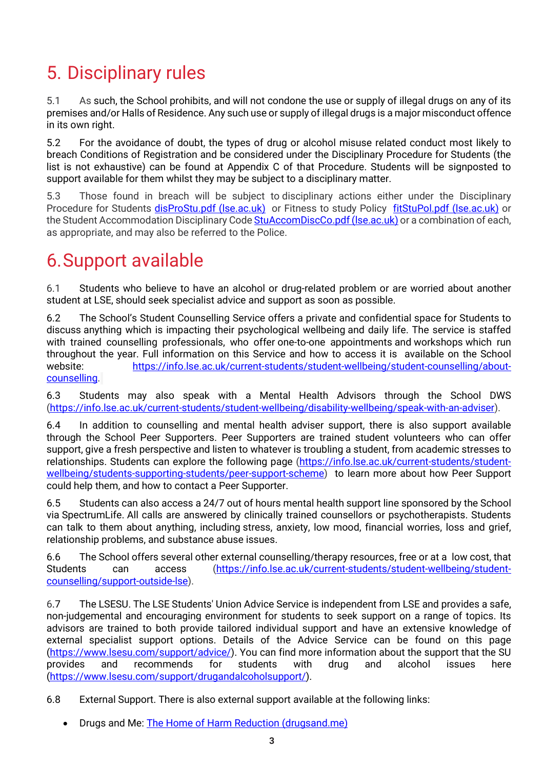# 5. Disciplinary rules

5.1 As such, the School prohibits, and will not condone the use or supply of illegal drugs on any of its premises and/or Halls of Residence. Any such use or supply of illegal drugs is a major misconduct offence in its own right.

5.2 For the avoidance of doubt, the types of drug or alcohol misuse related conduct most likely to breach Conditions of Registration and be considered under the Disciplinary Procedure for Students (the list is not exhaustive) can be found at Appendix C of that Procedure. Students will be signposted to support available for them whilst they may be subject to a disciplinary matter.

5.3 Those found in breach will be subject to [disciplinary actions](https://www.reading.ac.uk/essentials/-/media/files/essentials/pdfandfiles/student-disciplinary-procedure-0819.ashx) either under the Disciplinary Procedure for Students disProStu.pdf (Ise.ac.uk) or Fitness to study Policy fitStuPol.pdf (Ise.ac.uk) or the Student Accommodation Disciplinary Code StuAccomDiscCo.pdf (Ise.ac.uk) or a combination of each, as appropriate, and may also be referred to the Police.

### 6.Support available

6.1 Students who believe to have an alcohol or drug-related problem or are worried about another student at LSE, should seek specialist advice and support as soon as possible.

6.2 The School's Student Counselling Service offers a private and confidential space for Students to discuss anything which is impacting their psychological wellbeing and daily life. The service is staffed with trained counselling professionals, who offer [one-to-one appointments](https://info.lse.ac.uk/current-students/student-wellbeing/student-counselling/appointments) and [workshops](https://info.lse.ac.uk/current-students/student-wellbeing/counselling-workshops) which run throughout the year. Full information on this Service and how to access it is available on the School website: [https://info.lse.ac.uk/current-students/student-wellbeing/student-counselling/about](https://info.lse.ac.uk/current-students/student-wellbeing/student-counselling/about-counselling)[counselling.](https://info.lse.ac.uk/current-students/student-wellbeing/student-counselling/about-counselling)

6.3 Students may also speak with a Mental Health Advisors through the School DWS [\(https://info.lse.ac.uk/current-students/student-wellbeing/disability-wellbeing/speak-with-an-adviser\)](https://info.lse.ac.uk/current-students/student-wellbeing/disability-wellbeing/speak-with-an-adviser).

6.4 In addition to counselling and mental health adviser support, there is also support available through the School Peer Supporters. Peer Supporters are trained student volunteers who can offer support, give a fresh perspective and listen to whatever is troubling a student, from academic stresses to relationships. Students can explore the following page [\(https://info.lse.ac.uk/current-students/student](https://info.lse.ac.uk/current-students/student-wellbeing/students-supporting-students/peer-support-scheme)[wellbeing/students-supporting-students/peer-support-scheme\)](https://info.lse.ac.uk/current-students/student-wellbeing/students-supporting-students/peer-support-scheme) to learn more about how Peer Support could help them, and how to contact a Peer Supporter.

6.5 Students can also access a 24/7 out of hours mental health support line sponsored by the School via SpectrumLife. All calls are answered by clinically trained counsellors or psychotherapists. Students can talk to them about anything, including stress, anxiety, low mood, financial worries, loss and grief, relationship problems, and substance abuse issues.

6.6 The School offers several other external counselling/therapy resources, free or at a low cost, that Students can access [\(https://info.lse.ac.uk/current-students/student-wellbeing/student](https://info.lse.ac.uk/current-students/student-wellbeing/student-counselling/support-outside-lse)[counselling/support-outside-lse\)](https://info.lse.ac.uk/current-students/student-wellbeing/student-counselling/support-outside-lse).

6.7 The LSESU. The LSE Students' Union Advice Service is independent from LSE and provides a safe, non-judgemental and encouraging environment for students to seek support on a range of topics. Its advisors are trained to both provide tailored individual support and have an extensive knowledge of external specialist support options. Details of the Advice Service can be found on this page [\(https://www.lsesu.com/support/advice/\)](https://www.lsesu.com/support/advice/). You can find more information about the support that the SU provides and recommends for students with drug and alcohol issues here [\(https://www.lsesu.com/support/drugandalcoholsupport/\)](https://www.lsesu.com/support/drugandalcoholsupport/).

6.8 External Support. There is also external support available at the following links:

• Drugs and Me: [The Home of Harm Reduction \(drugsand.me\)](https://www.drugsand.me/en/)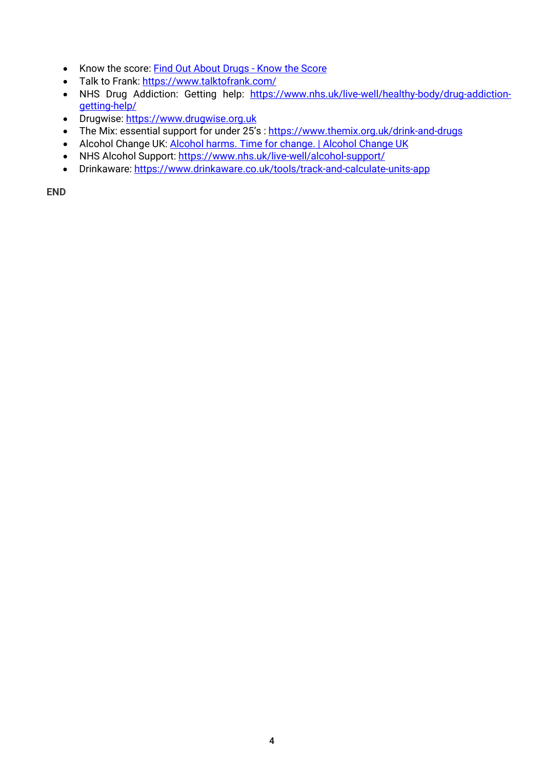- Know the score: [Find Out About Drugs -](https://www.knowthescore.info/) Know the Score
- Talk to Frank:<https://www.talktofrank.com/>
- NHS Drug Addiction: Getting help: [https://www.nhs.uk/live-well/healthy-body/drug-addiction](https://www.nhs.uk/live-well/healthy-body/drug-addiction-getting-help/)[getting-help/](https://www.nhs.uk/live-well/healthy-body/drug-addiction-getting-help/)
- Drugwise: [https://www.drugwise.org.uk](https://www.drugwise.org.uk/)
- The Mix: essential support for under 25's :<https://www.themix.org.uk/drink-and-drugs>
- Alcohol Change UK: [Alcohol harms. Time for change. | Alcohol Change UK](https://alcoholchange.org.uk/)
- NHS Alcohol Support:<https://www.nhs.uk/live-well/alcohol-support/>
- Drinkaware:<https://www.drinkaware.co.uk/tools/track-and-calculate-units-app>

**END**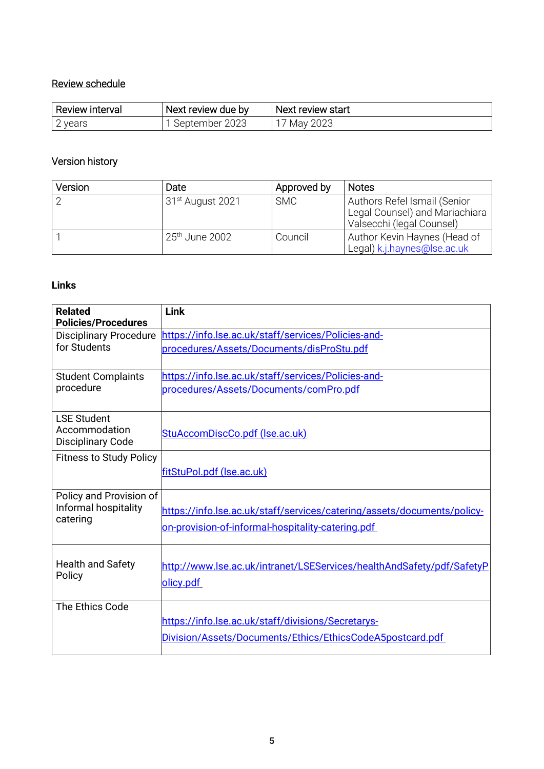#### Review schedule

| ' Review interval | Next review due by | Next review start |
|-------------------|--------------------|-------------------|
| ' vears           | September 2023     | May 2023          |

#### Version history

| Version | Date                         | Approved by | <b>Notes</b>                                                                                |
|---------|------------------------------|-------------|---------------------------------------------------------------------------------------------|
|         | 31 <sup>st</sup> August 2021 | <b>SMC</b>  | Authors Refel Ismail (Senior<br>Legal Counsel) and Mariachiara<br>Valsecchi (legal Counsel) |
|         | 25 <sup>th</sup> June 2002   | Council     | Author Kevin Haynes (Head of<br>Legal) k.j.haynes@lse.ac.uk                                 |

#### **Links**

| <b>Link</b>                                                             |
|-------------------------------------------------------------------------|
| https://info.lse.ac.uk/staff/services/Policies-and-                     |
| procedures/Assets/Documents/disProStu.pdf                               |
| https://info.lse.ac.uk/staff/services/Policies-and-                     |
| procedures/Assets/Documents/comPro.pdf                                  |
|                                                                         |
| StuAccomDiscCo.pdf (Ise.ac.uk)                                          |
|                                                                         |
| fitStuPol.pdf (Ise.ac.uk)                                               |
|                                                                         |
| https://info.lse.ac.uk/staff/services/catering/assets/documents/policy- |
| on-provision-of-informal-hospitality-catering.pdf                       |
| http://www.lse.ac.uk/intranet/LSEServices/healthAndSafety/pdf/SafetyP   |
| olicy.pdf                                                               |
|                                                                         |
| https://info.lse.ac.uk/staff/divisions/Secretarys-                      |
| Division/Assets/Documents/Ethics/EthicsCodeA5postcard.pdf               |
|                                                                         |